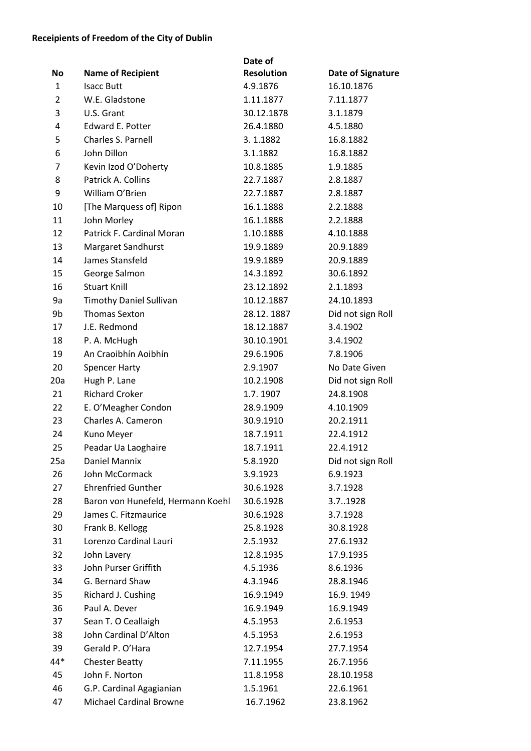## **Receipients of Freedom of the City of Dublin**

|                |                                   | Date of           |                          |
|----------------|-----------------------------------|-------------------|--------------------------|
| No             | <b>Name of Recipient</b>          | <b>Resolution</b> | <b>Date of Signature</b> |
| $\mathbf{1}$   | <b>Isacc Butt</b>                 | 4.9.1876          | 16.10.1876               |
| $\overline{2}$ | W.E. Gladstone                    | 1.11.1877         | 7.11.1877                |
| 3              | U.S. Grant                        | 30.12.1878        | 3.1.1879                 |
| 4              | Edward E. Potter                  | 26.4.1880         | 4.5.1880                 |
| 5              | Charles S. Parnell                | 3.1.1882          | 16.8.1882                |
| 6              | John Dillon                       | 3.1.1882          | 16.8.1882                |
| 7              | Kevin Izod O'Doherty              | 10.8.1885         | 1.9.1885                 |
| 8              | Patrick A. Collins                | 22.7.1887         | 2.8.1887                 |
| 9              | William O'Brien                   | 22.7.1887         | 2.8.1887                 |
| 10             | [The Marquess of] Ripon           | 16.1.1888         | 2.2.1888                 |
| 11             | John Morley                       | 16.1.1888         | 2.2.1888                 |
| 12             | Patrick F. Cardinal Moran         | 1.10.1888         | 4.10.1888                |
| 13             | Margaret Sandhurst                | 19.9.1889         | 20.9.1889                |
| 14             | James Stansfeld                   | 19.9.1889         | 20.9.1889                |
| 15             | George Salmon                     | 14.3.1892         | 30.6.1892                |
| 16             | <b>Stuart Knill</b>               | 23.12.1892        | 2.1.1893                 |
| 9a             | <b>Timothy Daniel Sullivan</b>    | 10.12.1887        | 24.10.1893               |
| 9b             | <b>Thomas Sexton</b>              | 28.12.1887        | Did not sign Roll        |
| 17             | J.E. Redmond                      | 18.12.1887        | 3.4.1902                 |
| 18             | P. A. McHugh                      | 30.10.1901        | 3.4.1902                 |
| 19             | An Craoibhín Aoibhín              | 29.6.1906         | 7.8.1906                 |
| 20             | <b>Spencer Harty</b>              | 2.9.1907          | No Date Given            |
| 20a            | Hugh P. Lane                      | 10.2.1908         | Did not sign Roll        |
| 21             | <b>Richard Croker</b>             | 1.7.1907          | 24.8.1908                |
| 22             | E. O'Meagher Condon               | 28.9.1909         | 4.10.1909                |
| 23             | Charles A. Cameron                | 30.9.1910         | 20.2.1911                |
| 24             | Kuno Meyer                        | 18.7.1911         | 22.4.1912                |
| 25             | Peadar Ua Laoghaire               | 18.7.1911         | 22.4.1912                |
| 25a            | Daniel Mannix                     | 5.8.1920          | Did not sign Roll        |
| 26             | John McCormack                    | 3.9.1923          | 6.9.1923                 |
| 27             | <b>Ehrenfried Gunther</b>         | 30.6.1928         | 3.7.1928                 |
| 28             | Baron von Hunefeld, Hermann Koehl | 30.6.1928         | 3.71928                  |
| 29             | James C. Fitzmaurice              | 30.6.1928         | 3.7.1928                 |
| 30             | Frank B. Kellogg                  | 25.8.1928         | 30.8.1928                |
| 31             | Lorenzo Cardinal Lauri            | 2.5.1932          | 27.6.1932                |
| 32             | John Lavery                       | 12.8.1935         | 17.9.1935                |
| 33             | John Purser Griffith              | 4.5.1936          | 8.6.1936                 |
| 34             | G. Bernard Shaw                   | 4.3.1946          | 28.8.1946                |
| 35             | Richard J. Cushing                | 16.9.1949         | 16.9.1949                |
| 36             | Paul A. Dever                     | 16.9.1949         | 16.9.1949                |
| 37             | Sean T. O Ceallaigh               | 4.5.1953          | 2.6.1953                 |
| 38             | John Cardinal D'Alton             | 4.5.1953          | 2.6.1953                 |
| 39             | Gerald P. O'Hara                  | 12.7.1954         | 27.7.1954                |
| 44*            | <b>Chester Beatty</b>             | 7.11.1955         | 26.7.1956                |
| 45             | John F. Norton                    | 11.8.1958         | 28.10.1958               |
| 46             | G.P. Cardinal Agagianian          | 1.5.1961          | 22.6.1961                |
| 47             | Michael Cardinal Browne           | 16.7.1962         | 23.8.1962                |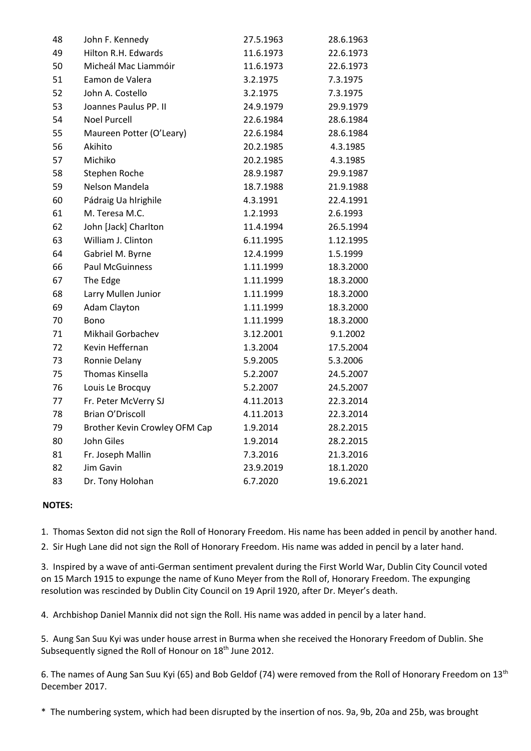| 48 | John F. Kennedy               | 27.5.1963 | 28.6.1963 |
|----|-------------------------------|-----------|-----------|
| 49 | Hilton R.H. Edwards           | 11.6.1973 | 22.6.1973 |
| 50 | Micheál Mac Liammóir          | 11.6.1973 | 22.6.1973 |
| 51 | Eamon de Valera               | 3.2.1975  | 7.3.1975  |
| 52 | John A. Costello              | 3.2.1975  | 7.3.1975  |
| 53 | Joannes Paulus PP. II         | 24.9.1979 | 29.9.1979 |
| 54 | <b>Noel Purcell</b>           | 22.6.1984 | 28.6.1984 |
| 55 | Maureen Potter (O'Leary)      | 22.6.1984 | 28.6.1984 |
| 56 | Akihito                       | 20.2.1985 | 4.3.1985  |
| 57 | Michiko                       | 20.2.1985 | 4.3.1985  |
| 58 | Stephen Roche                 | 28.9.1987 | 29.9.1987 |
| 59 | Nelson Mandela                | 18.7.1988 | 21.9.1988 |
| 60 | Pádraig Ua hIrighile          | 4.3.1991  | 22.4.1991 |
| 61 | M. Teresa M.C.                | 1.2.1993  | 2.6.1993  |
| 62 | John [Jack] Charlton          | 11.4.1994 | 26.5.1994 |
| 63 | William J. Clinton            | 6.11.1995 | 1.12.1995 |
| 64 | Gabriel M. Byrne              | 12.4.1999 | 1.5.1999  |
| 66 | <b>Paul McGuinness</b>        | 1.11.1999 | 18.3.2000 |
| 67 | The Edge                      | 1.11.1999 | 18.3.2000 |
| 68 | Larry Mullen Junior           | 1.11.1999 | 18.3.2000 |
| 69 | <b>Adam Clayton</b>           | 1.11.1999 | 18.3.2000 |
| 70 | Bono                          | 1.11.1999 | 18.3.2000 |
| 71 | Mikhail Gorbachev             | 3.12.2001 | 9.1.2002  |
| 72 | Kevin Heffernan               | 1.3.2004  | 17.5.2004 |
| 73 | Ronnie Delany                 | 5.9.2005  | 5.3.2006  |
| 75 | <b>Thomas Kinsella</b>        | 5.2.2007  | 24.5.2007 |
| 76 | Louis Le Brocquy              | 5.2.2007  | 24.5.2007 |
| 77 | Fr. Peter McVerry SJ          | 4.11.2013 | 22.3.2014 |
| 78 | Brian O'Driscoll              | 4.11.2013 | 22.3.2014 |
| 79 | Brother Kevin Crowley OFM Cap | 1.9.2014  | 28.2.2015 |
| 80 | John Giles                    | 1.9.2014  | 28.2.2015 |
| 81 | Fr. Joseph Mallin             | 7.3.2016  | 21.3.2016 |
| 82 | Jim Gavin                     | 23.9.2019 | 18.1.2020 |
| 83 | Dr. Tony Holohan              | 6.7.2020  | 19.6.2021 |

## **NOTES:**

1. Thomas Sexton did not sign the Roll of Honorary Freedom. His name has been added in pencil by another hand.

2. Sir Hugh Lane did not sign the Roll of Honorary Freedom. His name was added in pencil by a later hand.

3. Inspired by a wave of anti-German sentiment prevalent during the First World War, Dublin City Council voted on 15 March 1915 to expunge the name of Kuno Meyer from the Roll of, Honorary Freedom. The expunging resolution was rescinded by Dublin City Council on 19 April 1920, after Dr. Meyer's death.

4. Archbishop Daniel Mannix did not sign the Roll. His name was added in pencil by a later hand.

5. Aung San Suu Kyi was under house arrest in Burma when she received the Honorary Freedom of Dublin. She Subsequently signed the Roll of Honour on 18<sup>th</sup> June 2012.

6. The names of Aung San Suu Kyi (65) and Bob Geldof (74) were removed from the Roll of Honorary Freedom on 13<sup>th</sup> December 2017.

\* The numbering system, which had been disrupted by the insertion of nos. 9a, 9b, 20a and 25b, was brought